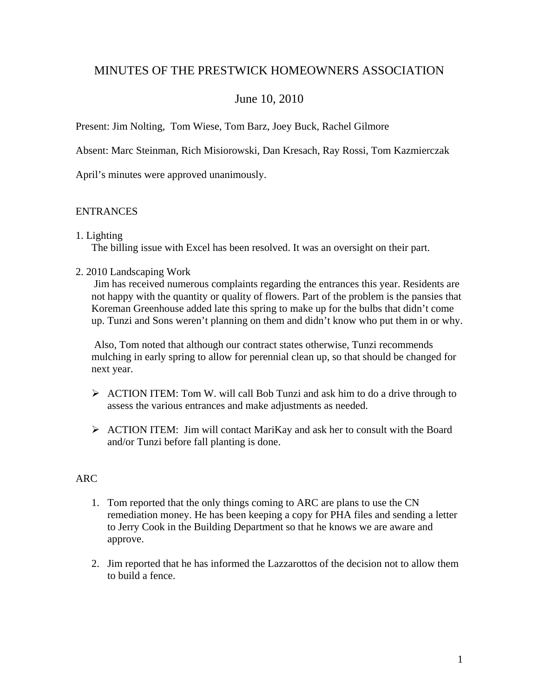# MINUTES OF THE PRESTWICK HOMEOWNERS ASSOCIATION

# June 10, 2010

Present: Jim Nolting, Tom Wiese, Tom Barz, Joey Buck, Rachel Gilmore

Absent: Marc Steinman, Rich Misiorowski, Dan Kresach, Ray Rossi, Tom Kazmierczak

April's minutes were approved unanimously.

#### **ENTRANCES**

#### 1. Lighting

The billing issue with Excel has been resolved. It was an oversight on their part.

#### 2. 2010 Landscaping Work

Jim has received numerous complaints regarding the entrances this year. Residents are not happy with the quantity or quality of flowers. Part of the problem is the pansies that Koreman Greenhouse added late this spring to make up for the bulbs that didn't come up. Tunzi and Sons weren't planning on them and didn't know who put them in or why.

Also, Tom noted that although our contract states otherwise, Tunzi recommends mulching in early spring to allow for perennial clean up, so that should be changed for next year.

- $\triangleright$  ACTION ITEM: Tom W. will call Bob Tunzi and ask him to do a drive through to assess the various entrances and make adjustments as needed.
- ¾ ACTION ITEM: Jim will contact MariKay and ask her to consult with the Board and/or Tunzi before fall planting is done.

# ARC

- 1. Tom reported that the only things coming to ARC are plans to use the CN remediation money. He has been keeping a copy for PHA files and sending a letter to Jerry Cook in the Building Department so that he knows we are aware and approve.
- 2. Jim reported that he has informed the Lazzarottos of the decision not to allow them to build a fence.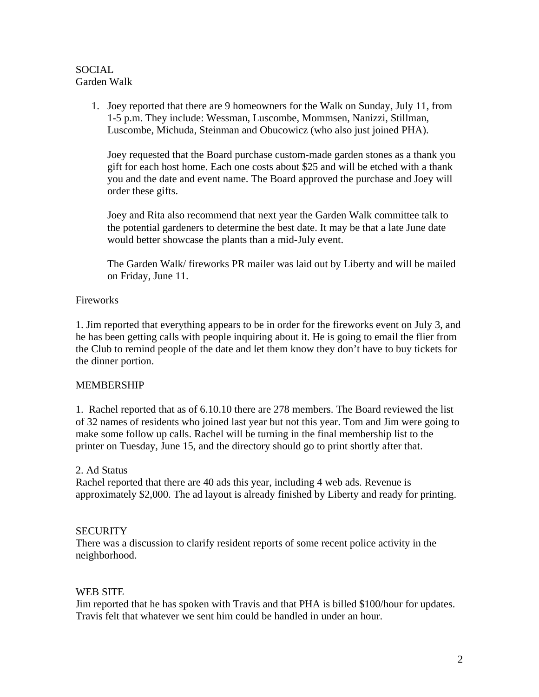#### **SOCIAL** Garden Walk

1. Joey reported that there are 9 homeowners for the Walk on Sunday, July 11, from 1-5 p.m. They include: Wessman, Luscombe, Mommsen, Nanizzi, Stillman, Luscombe, Michuda, Steinman and Obucowicz (who also just joined PHA).

Joey requested that the Board purchase custom-made garden stones as a thank you gift for each host home. Each one costs about \$25 and will be etched with a thank you and the date and event name. The Board approved the purchase and Joey will order these gifts.

Joey and Rita also recommend that next year the Garden Walk committee talk to the potential gardeners to determine the best date. It may be that a late June date would better showcase the plants than a mid-July event.

The Garden Walk/ fireworks PR mailer was laid out by Liberty and will be mailed on Friday, June 11.

# Fireworks

1. Jim reported that everything appears to be in order for the fireworks event on July 3, and he has been getting calls with people inquiring about it. He is going to email the flier from the Club to remind people of the date and let them know they don't have to buy tickets for the dinner portion.

# MEMBERSHIP

1. Rachel reported that as of 6.10.10 there are 278 members. The Board reviewed the list of 32 names of residents who joined last year but not this year. Tom and Jim were going to make some follow up calls. Rachel will be turning in the final membership list to the printer on Tuesday, June 15, and the directory should go to print shortly after that.

# 2. Ad Status

Rachel reported that there are 40 ads this year, including 4 web ads. Revenue is approximately \$2,000. The ad layout is already finished by Liberty and ready for printing.

# **SECURITY**

There was a discussion to clarify resident reports of some recent police activity in the neighborhood.

# WEB SITE

Jim reported that he has spoken with Travis and that PHA is billed \$100/hour for updates. Travis felt that whatever we sent him could be handled in under an hour.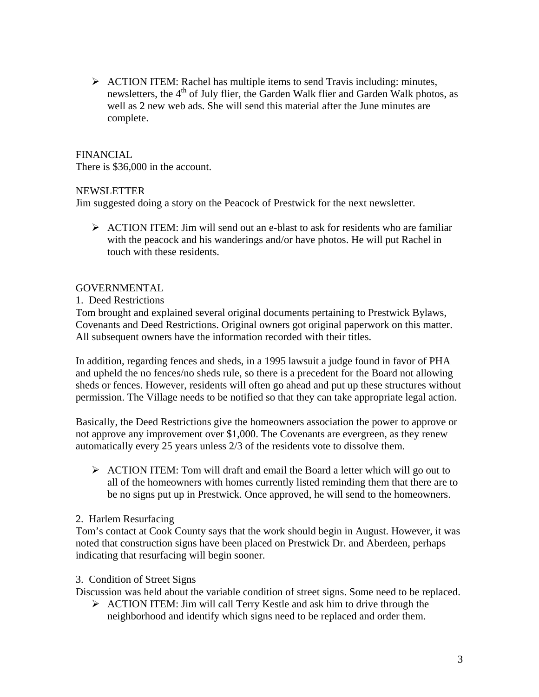$\triangleright$  ACTION ITEM: Rachel has multiple items to send Travis including: minutes, newsletters, the  $4<sup>th</sup>$  of July flier, the Garden Walk flier and Garden Walk photos, as well as 2 new web ads. She will send this material after the June minutes are complete.

# FINANCIAL

There is \$36,000 in the account.

# NEWSLETTER

Jim suggested doing a story on the Peacock of Prestwick for the next newsletter.

 $\triangleright$  ACTION ITEM: Jim will send out an e-blast to ask for residents who are familiar with the peacock and his wanderings and/or have photos. He will put Rachel in touch with these residents.

# GOVERNMENTAL

1. Deed Restrictions

Tom brought and explained several original documents pertaining to Prestwick Bylaws, Covenants and Deed Restrictions. Original owners got original paperwork on this matter. All subsequent owners have the information recorded with their titles.

In addition, regarding fences and sheds, in a 1995 lawsuit a judge found in favor of PHA and upheld the no fences/no sheds rule, so there is a precedent for the Board not allowing sheds or fences. However, residents will often go ahead and put up these structures without permission. The Village needs to be notified so that they can take appropriate legal action.

Basically, the Deed Restrictions give the homeowners association the power to approve or not approve any improvement over \$1,000. The Covenants are evergreen, as they renew automatically every 25 years unless 2/3 of the residents vote to dissolve them.

¾ ACTION ITEM: Tom will draft and email the Board a letter which will go out to all of the homeowners with homes currently listed reminding them that there are to be no signs put up in Prestwick. Once approved, he will send to the homeowners.

# 2. Harlem Resurfacing

Tom's contact at Cook County says that the work should begin in August. However, it was noted that construction signs have been placed on Prestwick Dr. and Aberdeen, perhaps indicating that resurfacing will begin sooner.

# 3. Condition of Street Signs

Discussion was held about the variable condition of street signs. Some need to be replaced.

 $\triangleright$  ACTION ITEM: Jim will call Terry Kestle and ask him to drive through the neighborhood and identify which signs need to be replaced and order them.